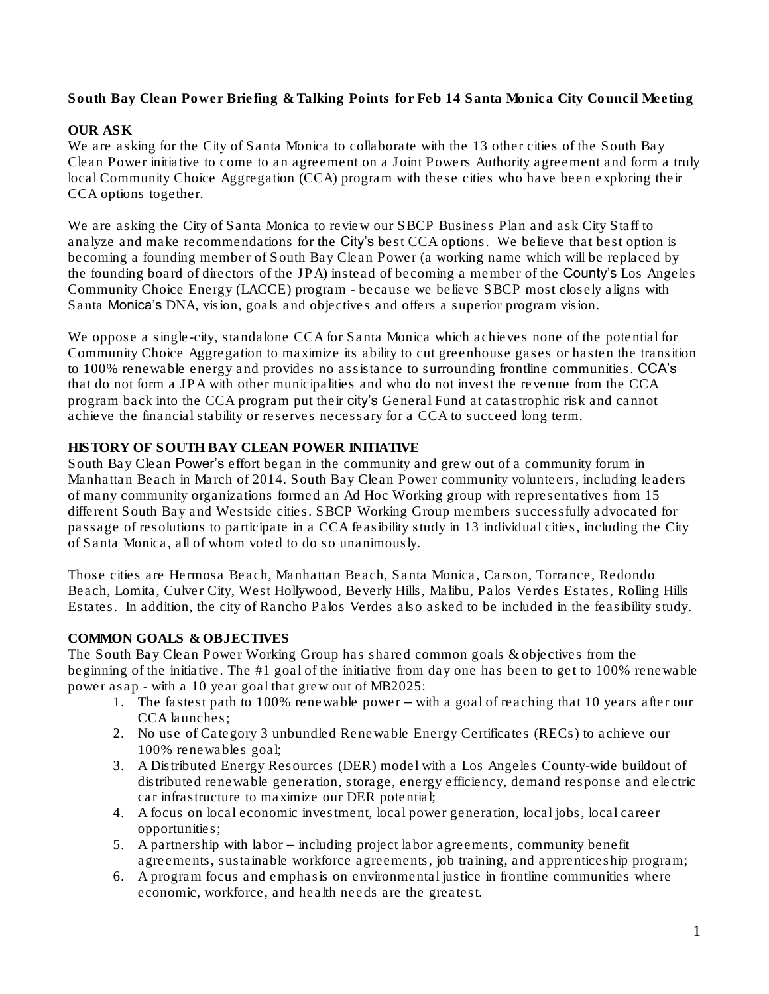South Bay Clean Power Briefing & Talking Points for Feb 14 Santa Monica City Council Meeting

#### OUR ASK

We are asking for the City of Santa Monica to collaborate with the 13 other cities of the South Bay Clean Power initiative to come to an agreement on a Joint Powers Authority agreement and form a truly local Community Choice Aggregation (CCA) program with these cities who have been exploring their CCA options together.

We are asking the City of Santa Monica to review our SBCP Business Plan and ask City Staff to analyze and make recommendations for the City's best CCA options. We believe that best option is becoming a founding member of South Bay Clean Power (*a working name which will be replaced by the founding board of directors of the JPA*) instead of becoming a member of the County's Los Angeles Community Choice Energy (LACCE) program - because we believe SBCP most closely aligns with Santa Monica's DNA, vision, goals and objectives and offers a superior program vision.

We oppose a single-city, standalone CCA for Santa Monica which achieves none of the potential for Community Choice Aggregation to maximize its ability to cut greenhouse gases or hasten the transition to 100% renewable energy and provides no assistance to surrounding frontline communities. CCA's that do not form a JPA with other municipalities and who do not invest the revenue from the CCA program back into the CCA program put their city's General Fund at catastrophic risk and cannot achieve the financial stability or reserves necessary for a CCA to succeed long term.

#### HISTORY OF SOUTH BAY CLEAN POWER INITIATIVE

South Bay Clean Power's effort began in the community and grew out of a community forum in Manhattan Beach in March of 2014. South Bay Clean Power community volunteers, including leaders of many community organizations formed an Ad Hoc Working group with representatives from 15 different South Bay and Westside cities. SBCP Working Group members successfully advocated for passage of resolutions to participate in a CCA feasibility study in 13 individual cities, including the City of Santa Monica, all of whom voted to do so unanimously.

Those cities are Hermosa Beach, Manhattan Beach, Santa Monica, Carson, Torrance, Redondo Beach, Lomita, Culver City, West Hollywood, Beverly Hills, Malibu, Palos Verdes Estates, Rolling Hills Estates. In addition, the city of Rancho Palos Verdes also asked to be included in the feasibility study.

#### COMMON GOALS & OBJECTIVES

The South Bay Clean Power Working Group has shared common goals & objectives from the beginning of the initiative. The #1 goal of the initiative from day one has been to get to 100% renewable power asap - with a 10 year goal that grew out of MB2025:

- 1. The fastest path to 100% renewable power with a goal of reaching that 10 years after our CCA launches;
- 2. No use of Category 3 unbundled Renewable Energy Certificates (RECs) to achieve our 100% renewables goal;
- 3. A Distributed Energy Resources (DER) model with a Los Angeles County-wide buildout of distributed renewable generation, storage, energy efficiency, demand response and electric car infrastructure to maximize our DER potential;
- 4. A focus on local economic investment, local power generation, local jobs, local career opportunities;
- 5. A partnership with labor including project labor agreements, community benefit agreements, sustainable workforce agreements, job training, and apprenticeship program;
- 6. A program focus and emphasis on environmental justice in frontline communities where economic, workforce, and health needs are the greatest.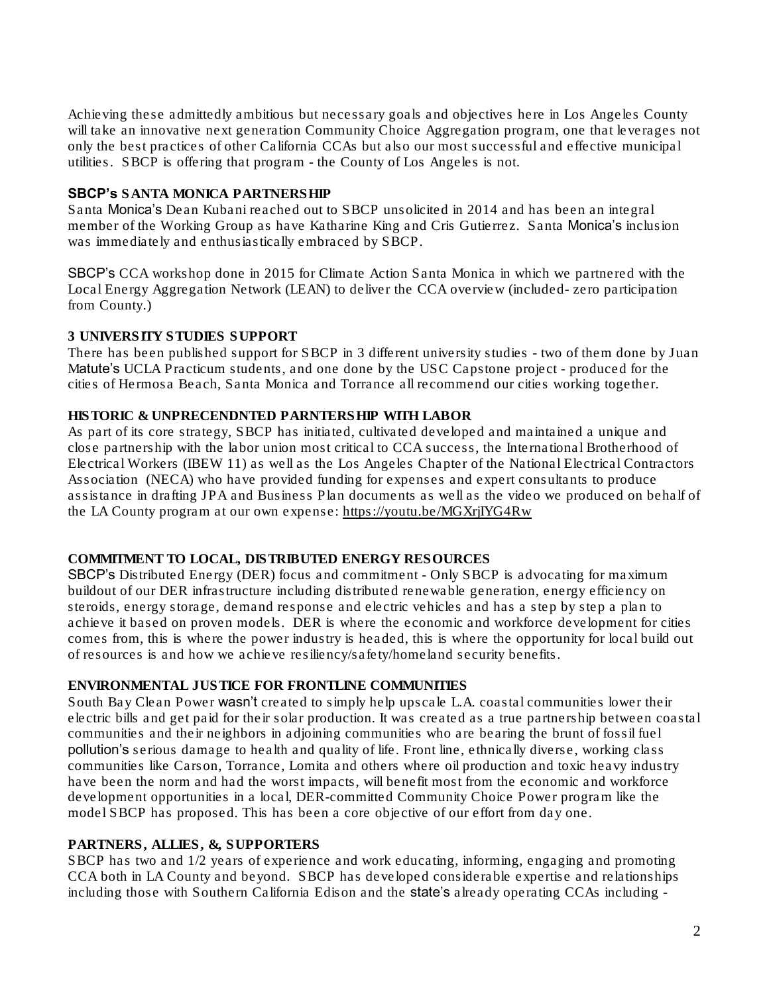Achieving these admittedly ambitious but necessary goals and objectives here in Los Angeles County will take an innovative next generation Community Choice Aggregation program, one that leverages not only the best practices of other California CCAs but also our most successful and effective municipal utilities. SBCP is offering that program - the County of Los Angeles is not.

#### SBCP's SANTA MONICA PARTNERSHIP

Santa Monica's Dean Kubani reached out to SBCP unsolicited in 2014 and has been an integral member of the Working Group as have Katharine King and Cris Gutierrez. Santa Monica's inclusion was immediately and enthusiastically embraced by SBCP.

SBCP's CCA workshop done in 2015 for Climate Action Santa Monica in which we partnered with the Local Energy Aggregation Network (LEAN) to deliver the CCA overview (included- zero participation from County.)

# 3 UNIVERSITY STUDIES SUPPORT

There has been published support for SBCP in 3 different university studies - two of them done by Juan Matute's UCLA Practicum students, and one done by the USC Capstone project - produced for the cities of Hermosa Beach, Santa Monica and Torrance all recommend our cities working together.

#### HISTORIC & UNPRECENDNTED PARNTERSHIP WITH LABOR

As part of its core strategy, SBCP has initiated, cultivated developed and maintained a unique and close partnership with the labor union most critical to CCA success, the International Brotherhood of Electrical Workers (IBEW 11) as well as the Los Angeles Chapter of the National Electrical Contractors Association (NECA) who have provided funding for expenses and expert consultants to produce assistance in drafting JPA and Business Plan documents as well as the video we produced on behalf of the LA County program at our own expense: <https://youtu.be/MGXrjIYG4Rw>

# COMMITMENT TO LOCAL, DISTRIBUTED ENERGY RESOURCES

SBCP's Distributed Energy (DER) focus and commitment - Only SBCP is advocating for maximum buildout of our DER infrastructure including distributed renewable generation, energy efficiency on steroids, energy storage, demand response and electric vehicles and has a step by step a plan to achieve it based on proven models. DER is where the economic and workforce development for cities comes from, this is where the power industry is headed, this is where the opportunity for local build out of resources is and how we achieve resiliency/safety/homeland security benefits.

# ENVIRONMENTAL JUSTICE FOR FRONTLINE COMMUNITIES

South Bay Clean Power wasn't created to simply help upscale L.A. coastal communities lower their electric bills and get paid for their solar production. It was created as a true partnership between coastal communities and their neighbors in adjoining communities who are bearing the brunt of fossil fuel pollution's serious damage to health and quality of life. Front line, ethnically diverse, working class communities like Carson, Torrance, Lomita and others where oil production and toxic heavy industry have been the norm and had the worst impacts, will benefit most from the economic and workforce development opportunities in a local, DER-committed Community Choice Power program like the model SBCP has proposed. This has been a core objective of our effort from day one.

# PARTNERS, ALLIES, &, SUPPORTERS

SBCP has two and 1/2 years of experience and work educating, informing, engaging and promoting CCA both in LA County and beyond. SBCP has developed considerable expertise and relationships including those with Southern California Edison and the state's already operating CCAs including -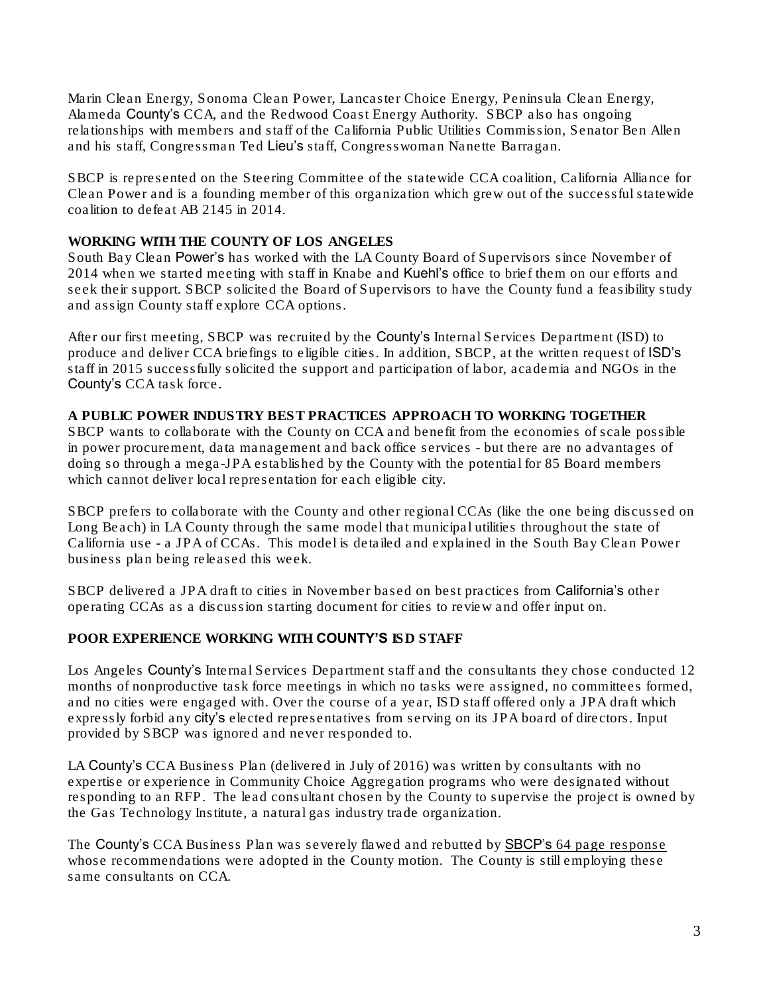Marin Clean Energy, Sonoma Clean Power, Lancaster Choice Energy, Peninsula Clean Energy, Alameda County's CCA, and the Redwood Coast Energy Authority. SBCP also has ongoing relationships with members and staff of the California Public Utilities Commission, Senator Ben Allen and his staff, Congressman Ted Lieu's staff, Congresswoman Nanette Barragan.

SBCP is represented on the Steering Committee of the statewide CCA coalition, California Alliance for Clean Power and is a founding member of this organization which grew out of the successful statewide coalition to defeat AB 2145 in 2014.

#### WORKING WITH THE COUNTY OF LOS ANGELES

South Bay Clean Power's has worked with the LA County Board of Supervisors since November of 2014 when we started meeting with staff in Knabe and Kuehl's office to brief them on our efforts and seek their support. SBCP solicited the Board of Supervisors to have the County fund a feasibility study and assign County staff explore CCA options.

After our first meeting, SBCP was recruited by the County's Internal Services Department (ISD) to produce and deliver CCA briefings to eligible cities. In addition, SBCP, at the written request of ISD's staff in 2015 successfully solicited the support and participation of labor, academia and NGOs in the County's CCA task force.

A PUBLIC POWER INDUSTRY BEST PRACTICES APPROACH TO WORKING TOGETHER SBCP wants to collaborate with the County on CCA and benefit from the economies of scale possible in power procurement, data management and back office services - but there are no advantages of doing so through a mega-JPA established by the County with the potential for 85 Board members which cannot deliver local representation for each eligible city.

SBCP prefers to collaborate with the County and other regional CCAs (like the one being discussed on Long Beach) in LA County through the same model that municipal utilities throughout the state of California use - a JPA of CCAs. This model is detailed and explained in the South Bay Clean Power business plan being released this week.

SBCP delivered a JPA draft to cities in November based on best practices from California's other operating CCAs as a discussion starting document for cities to review and offer input on.

# POOR EXPERIENCE WORKING WITH COUNTY'S ISD STAFF

Los Angeles County's Internal Services Department staff and the consultants they chose conducted 12 months of nonproductive task force meetings in which no tasks were assigned, no committees formed, and no cities were engaged with. Over the course of a year, ISD staff offered only a JPA draft which expressly forbid any city's elected representatives from serving on its JPA board of directors. Input provided by SBCP was ignored and never responded to.

LA County's CCA Business Plan (delivered in July of 2016) was written by consultants with no expertise or experience in Community Choice Aggregation programs who were designated without responding to an RFP. The lead consultant chosen by the County to supervise the project is owned by the Gas Technology Institute, a natural gas industry trade organization.

The County's CCA Business Plan was severely flawed and rebutted by SBCP's 64 page [response](https://southbaycleanpower.files.wordpress.com/2016/09/sbcp-lacce-biz-plan-comments-082016-final.pdf) whose recommendations were adopted in the County motion. The County is still employing these same consultants on CCA.